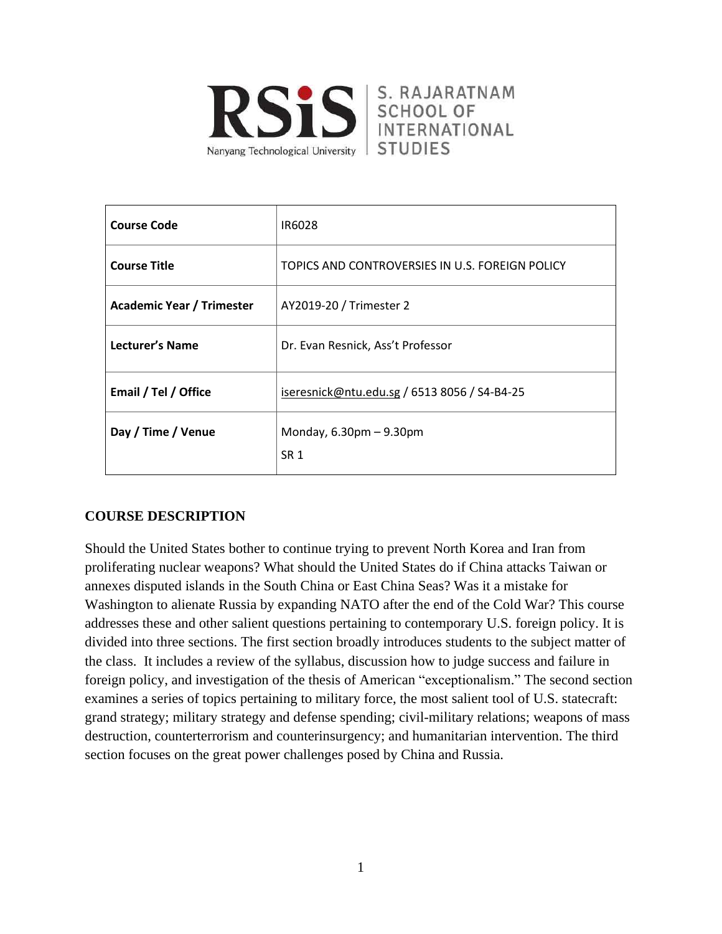

S. RAJARATNAM **SCHOOL OF** INTERNATIONAL **STUDIES** 

| <b>Course Code</b>               | IR6028                                            |
|----------------------------------|---------------------------------------------------|
| <b>Course Title</b>              | TOPICS AND CONTROVERSIES IN U.S. FOREIGN POLICY   |
| <b>Academic Year / Trimester</b> | AY2019-20 / Trimester 2                           |
| Lecturer's Name                  | Dr. Evan Resnick, Ass't Professor                 |
| Email / Tel / Office             | iseresnick@ntu.edu.sg / 6513 8056 / S4-B4-25      |
| Day / Time / Venue               | Monday, $6.30 \text{pm} - 9.30 \text{pm}$<br>SR 1 |

# **COURSE DESCRIPTION**

Should the United States bother to continue trying to prevent North Korea and Iran from proliferating nuclear weapons? What should the United States do if China attacks Taiwan or annexes disputed islands in the South China or East China Seas? Was it a mistake for Washington to alienate Russia by expanding NATO after the end of the Cold War? This course addresses these and other salient questions pertaining to contemporary U.S. foreign policy. It is divided into three sections. The first section broadly introduces students to the subject matter of the class. It includes a review of the syllabus, discussion how to judge success and failure in foreign policy, and investigation of the thesis of American "exceptionalism." The second section examines a series of topics pertaining to military force, the most salient tool of U.S. statecraft: grand strategy; military strategy and defense spending; civil-military relations; weapons of mass destruction, counterterrorism and counterinsurgency; and humanitarian intervention. The third section focuses on the great power challenges posed by China and Russia.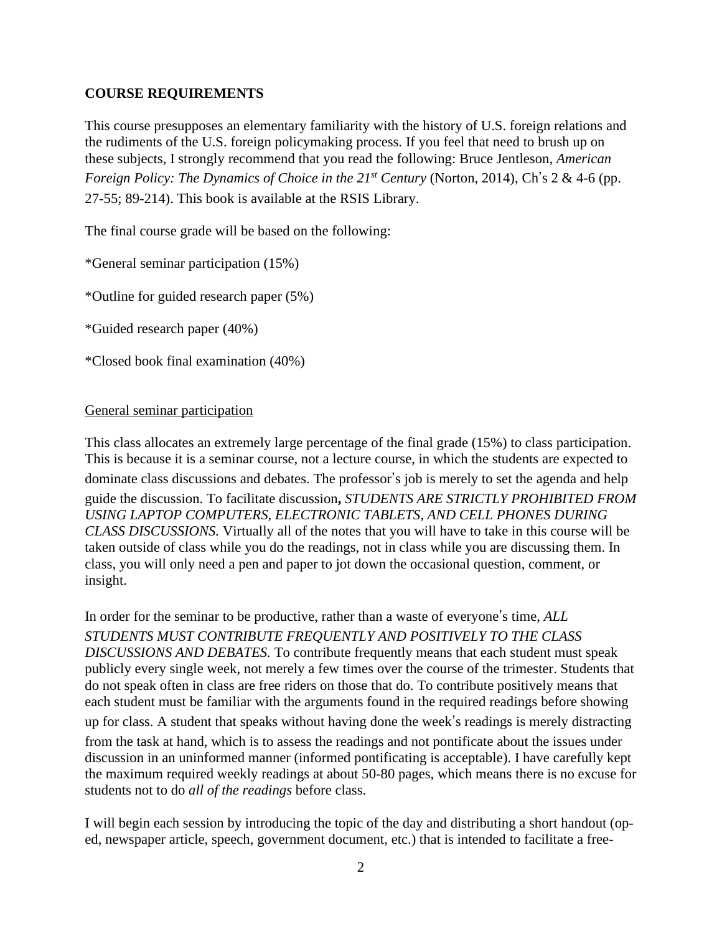# **COURSE REQUIREMENTS**

This course presupposes an elementary familiarity with the history of U.S. foreign relations and the rudiments of the U.S. foreign policymaking process. If you feel that need to brush up on these subjects, I strongly recommend that you read the following: Bruce Jentleson, *American Foreign Policy: The Dynamics of Choice in the 21st Century* (Norton, 2014), Ch's 2 & 4-6 (pp. 27-55; 89-214). This book is available at the RSIS Library.

The final course grade will be based on the following:

\*General seminar participation (15%)

\*Outline for guided research paper (5%)

\*Guided research paper (40%)

\*Closed book final examination (40%)

## General seminar participation

This class allocates an extremely large percentage of the final grade (15%) to class participation. This is because it is a seminar course, not a lecture course, in which the students are expected to dominate class discussions and debates. The professor's job is merely to set the agenda and help guide the discussion. To facilitate discussion**,** *STUDENTS ARE STRICTLY PROHIBITED FROM USING LAPTOP COMPUTERS, ELECTRONIC TABLETS, AND CELL PHONES DURING CLASS DISCUSSIONS.* Virtually all of the notes that you will have to take in this course will be taken outside of class while you do the readings, not in class while you are discussing them. In class, you will only need a pen and paper to jot down the occasional question, comment, or insight.

In order for the seminar to be productive, rather than a waste of everyone's time, *ALL STUDENTS MUST CONTRIBUTE FREQUENTLY AND POSITIVELY TO THE CLASS DISCUSSIONS AND DEBATES.* To contribute frequently means that each student must speak publicly every single week, not merely a few times over the course of the trimester. Students that do not speak often in class are free riders on those that do. To contribute positively means that each student must be familiar with the arguments found in the required readings before showing up for class. A student that speaks without having done the week's readings is merely distracting from the task at hand, which is to assess the readings and not pontificate about the issues under discussion in an uninformed manner (informed pontificating is acceptable). I have carefully kept the maximum required weekly readings at about 50-80 pages, which means there is no excuse for students not to do *all of the readings* before class.

I will begin each session by introducing the topic of the day and distributing a short handout (oped, newspaper article, speech, government document, etc.) that is intended to facilitate a free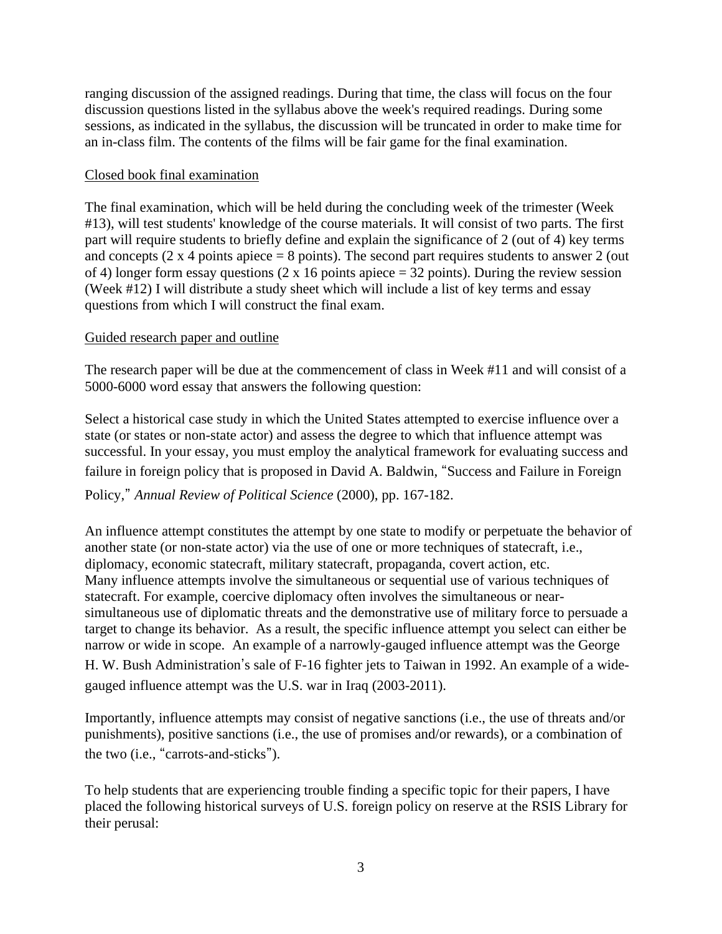ranging discussion of the assigned readings. During that time, the class will focus on the four discussion questions listed in the syllabus above the week's required readings. During some sessions, as indicated in the syllabus, the discussion will be truncated in order to make time for an in-class film. The contents of the films will be fair game for the final examination.

## Closed book final examination

The final examination, which will be held during the concluding week of the trimester (Week #13), will test students' knowledge of the course materials. It will consist of two parts. The first part will require students to briefly define and explain the significance of 2 (out of 4) key terms and concepts  $(2 \times 4 \text{ points} \text{ apiece} = 8 \text{ points})$ . The second part requires students to answer 2 (out of 4) longer form essay questions (2 x 16 points apiece  $=$  32 points). During the review session (Week #12) I will distribute a study sheet which will include a list of key terms and essay questions from which I will construct the final exam.

## Guided research paper and outline

The research paper will be due at the commencement of class in Week #11 and will consist of a 5000-6000 word essay that answers the following question:

Select a historical case study in which the United States attempted to exercise influence over a state (or states or non-state actor) and assess the degree to which that influence attempt was successful. In your essay, you must employ the analytical framework for evaluating success and failure in foreign policy that is proposed in David A. Baldwin, "Success and Failure in Foreign

# Policy," *Annual Review of Political Science* (2000), pp. 167-182.

An influence attempt constitutes the attempt by one state to modify or perpetuate the behavior of another state (or non-state actor) via the use of one or more techniques of statecraft, i.e., diplomacy, economic statecraft, military statecraft, propaganda, covert action, etc. Many influence attempts involve the simultaneous or sequential use of various techniques of statecraft. For example, coercive diplomacy often involves the simultaneous or nearsimultaneous use of diplomatic threats and the demonstrative use of military force to persuade a target to change its behavior. As a result, the specific influence attempt you select can either be narrow or wide in scope. An example of a narrowly-gauged influence attempt was the George H. W. Bush Administration's sale of F-16 fighter jets to Taiwan in 1992. An example of a widegauged influence attempt was the U.S. war in Iraq (2003-2011).

Importantly, influence attempts may consist of negative sanctions (i.e., the use of threats and/or punishments), positive sanctions (i.e., the use of promises and/or rewards), or a combination of the two (i.e., "carrots-and-sticks").

To help students that are experiencing trouble finding a specific topic for their papers, I have placed the following historical surveys of U.S. foreign policy on reserve at the RSIS Library for their perusal: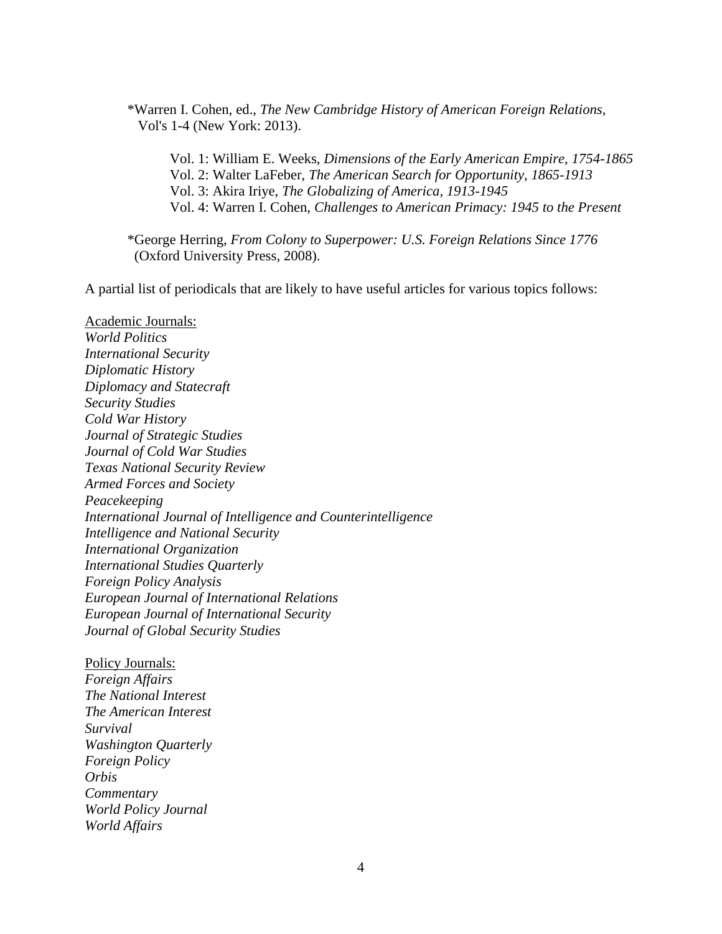\*Warren I. Cohen, ed., *The New Cambridge History of American Foreign Relations*, Vol's 1-4 (New York: 2013).

Vol. 1: William E. Weeks, *Dimensions of the Early American Empire, 1754-1865* Vol. 2: Walter LaFeber, *The American Search for Opportunity, 1865-1913* Vol. 3: Akira Iriye, *The Globalizing of America, 1913-1945* Vol. 4: Warren I. Cohen, *Challenges to American Primacy: 1945 to the Present*

\*George Herring, *From Colony to Superpower: U.S. Foreign Relations Since 1776* (Oxford University Press, 2008).

A partial list of periodicals that are likely to have useful articles for various topics follows:

Academic Journals:

*World Politics International Security Diplomatic History Diplomacy and Statecraft Security Studies Cold War History Journal of Strategic Studies Journal of Cold War Studies Texas National Security Review Armed Forces and Society Peacekeeping International Journal of Intelligence and Counterintelligence Intelligence and National Security International Organization International Studies Quarterly Foreign Policy Analysis European Journal of International Relations European Journal of International Security Journal of Global Security Studies*

Policy Journals: *Foreign Affairs The National Interest The American Interest Survival Washington Quarterly Foreign Policy Orbis Commentary World Policy Journal World Affairs*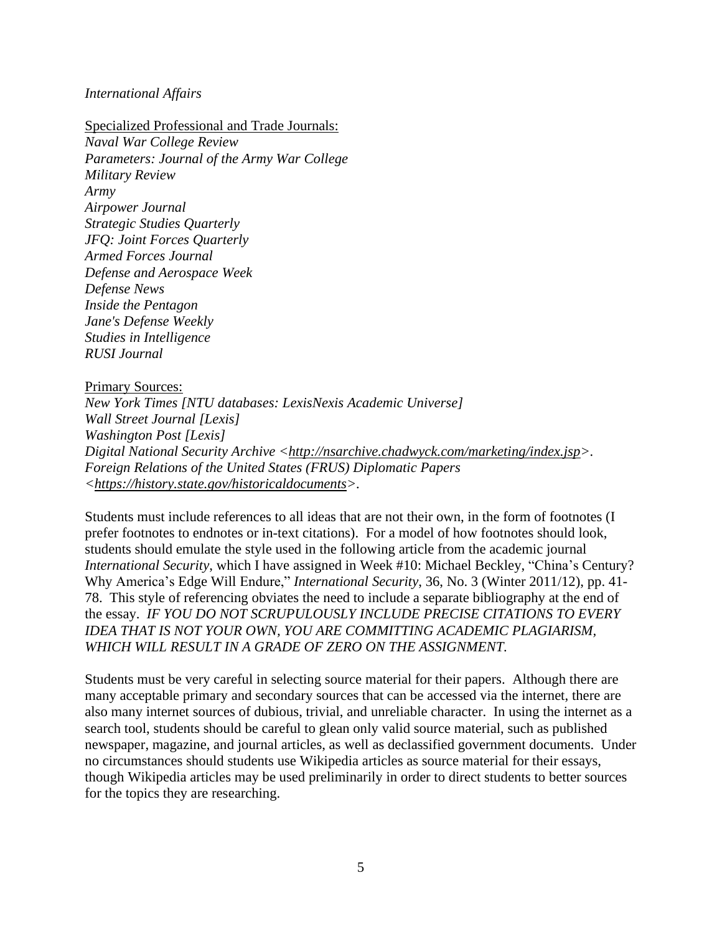#### *International Affairs*

Specialized Professional and Trade Journals: *Naval War College Review Parameters: Journal of the Army War College Military Review Army Airpower Journal Strategic Studies Quarterly JFQ: Joint Forces Quarterly Armed Forces Journal Defense and Aerospace Week Defense News Inside the Pentagon Jane's Defense Weekly Studies in Intelligence RUSI Journal*

#### Primary Sources:

*New York Times [NTU databases: LexisNexis Academic Universe] Wall Street Journal [Lexis] Washington Post [Lexis] Digital National Security Archive* [<http://nsarchive.chadwyck.com/marketing/index.jsp>](http://nsarchive.chadwyck.com/marketing/index.jsp). *Foreign Relations of the United States (FRUS) Diplomatic Papers [<https://history.state.gov/historicaldocuments>](https://history.state.gov/historicaldocuments).*

Students must include references to all ideas that are not their own, in the form of footnotes (I prefer footnotes to endnotes or in-text citations). For a model of how footnotes should look, students should emulate the style used in the following article from the academic journal *International Security*, which I have assigned in Week #10: Michael Beckley, "China's Century? Why America's Edge Will Endure," *International Security*, 36, No. 3 (Winter 2011/12), pp. 41- 78. This style of referencing obviates the need to include a separate bibliography at the end of the essay. *IF YOU DO NOT SCRUPULOUSLY INCLUDE PRECISE CITATIONS TO EVERY IDEA THAT IS NOT YOUR OWN, YOU ARE COMMITTING ACADEMIC PLAGIARISM, WHICH WILL RESULT IN A GRADE OF ZERO ON THE ASSIGNMENT.*

Students must be very careful in selecting source material for their papers. Although there are many acceptable primary and secondary sources that can be accessed via the internet, there are also many internet sources of dubious, trivial, and unreliable character. In using the internet as a search tool, students should be careful to glean only valid source material, such as published newspaper, magazine, and journal articles, as well as declassified government documents. Under no circumstances should students use Wikipedia articles as source material for their essays, though Wikipedia articles may be used preliminarily in order to direct students to better sources for the topics they are researching.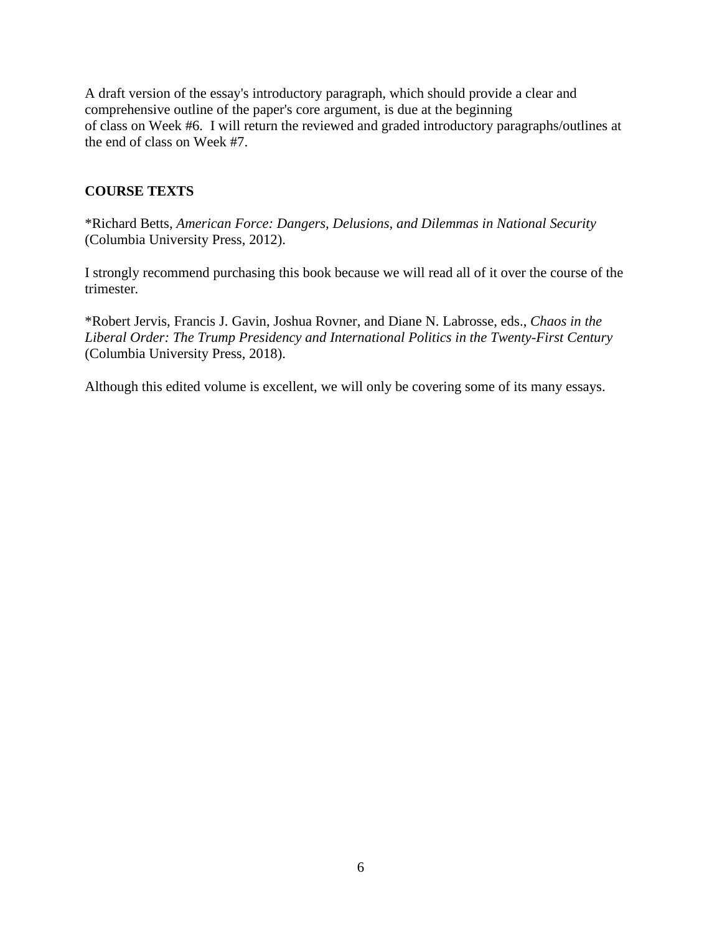A draft version of the essay's introductory paragraph, which should provide a clear and comprehensive outline of the paper's core argument, is due at the beginning of class on Week #6. I will return the reviewed and graded introductory paragraphs/outlines at the end of class on Week #7.

# **COURSE TEXTS**

\*Richard Betts, *American Force: Dangers, Delusions, and Dilemmas in National Security* (Columbia University Press, 2012).

I strongly recommend purchasing this book because we will read all of it over the course of the trimester*.*

\*Robert Jervis, Francis J. Gavin, Joshua Rovner, and Diane N. Labrosse, eds., *Chaos in the Liberal Order: The Trump Presidency and International Politics in the Twenty-First Century* (Columbia University Press, 2018).

Although this edited volume is excellent, we will only be covering some of its many essays.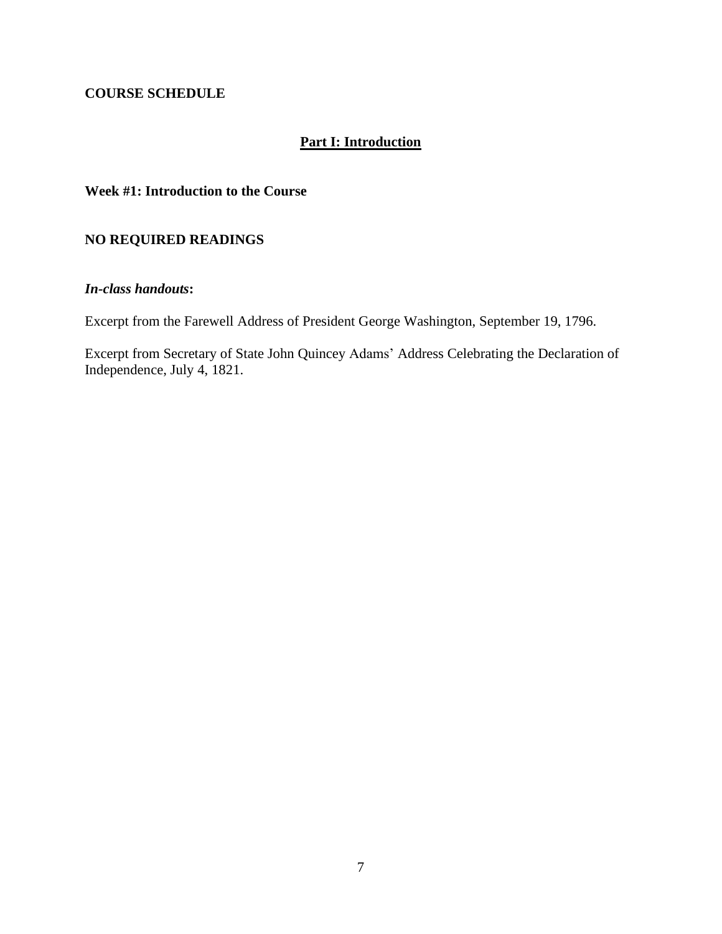## **COURSE SCHEDULE**

# **Part I: Introduction**

## **Week #1: Introduction to the Course**

## **NO REQUIRED READINGS**

## *In-class handouts***:**

Excerpt from the Farewell Address of President George Washington, September 19, 1796.

Excerpt from Secretary of State John Quincey Adams' Address Celebrating the Declaration of Independence, July 4, 1821.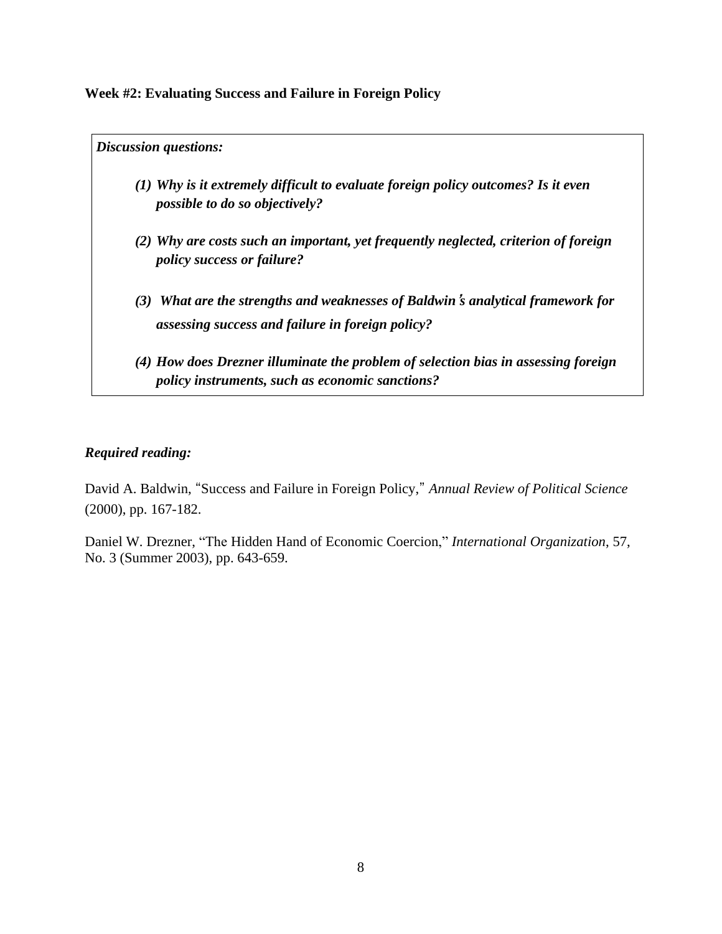**Week #2: Evaluating Success and Failure in Foreign Policy**

*Discussion questions: (1) Why is it extremely difficult to evaluate foreign policy outcomes? Is it even possible to do so objectively? (2) Why are costs such an important, yet frequently neglected, criterion of foreign policy success or failure? (3) What are the strengths and weaknesses of Baldwin***'***s analytical framework for assessing success and failure in foreign policy? (4) How does Drezner illuminate the problem of selection bias in assessing foreign policy instruments, such as economic sanctions?*

# *Required reading:*

David A. Baldwin, "Success and Failure in Foreign Policy," *Annual Review of Political Science* (2000), pp. 167-182.

Daniel W. Drezner, "The Hidden Hand of Economic Coercion," *International Organization*, 57, No. 3 (Summer 2003), pp. 643-659.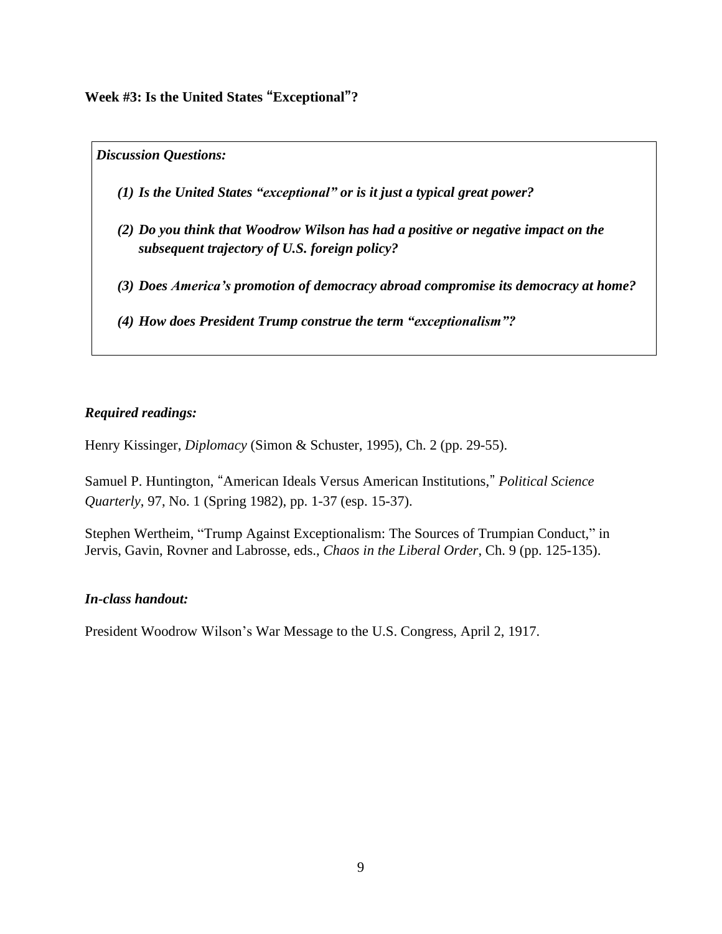**Week #3: Is the United States "Exceptional"?**

*Discussion Questions:*

- *(1) Is the United States "exceptional" or is it just a typical great power?*
- *(2) Do you think that Woodrow Wilson has had a positive or negative impact on the subsequent trajectory of U.S. foreign policy?*
- *(3) Does America's promotion of democracy abroad compromise its democracy at home?*
- *(4) How does President Trump construe the term "exceptionalism"?*

## *Required readings:*

Henry Kissinger, *Diplomacy* (Simon & Schuster, 1995), Ch. 2 (pp. 29-55).

Samuel P. Huntington, "American Ideals Versus American Institutions," *Political Science Quarterly*, 97, No. 1 (Spring 1982), pp. 1-37 (esp. 15-37).

Stephen Wertheim, "Trump Against Exceptionalism: The Sources of Trumpian Conduct," in Jervis, Gavin, Rovner and Labrosse, eds., *Chaos in the Liberal Order*, Ch. 9 (pp. 125-135).

### *In-class handout:*

President Woodrow Wilson's War Message to the U.S. Congress, April 2, 1917.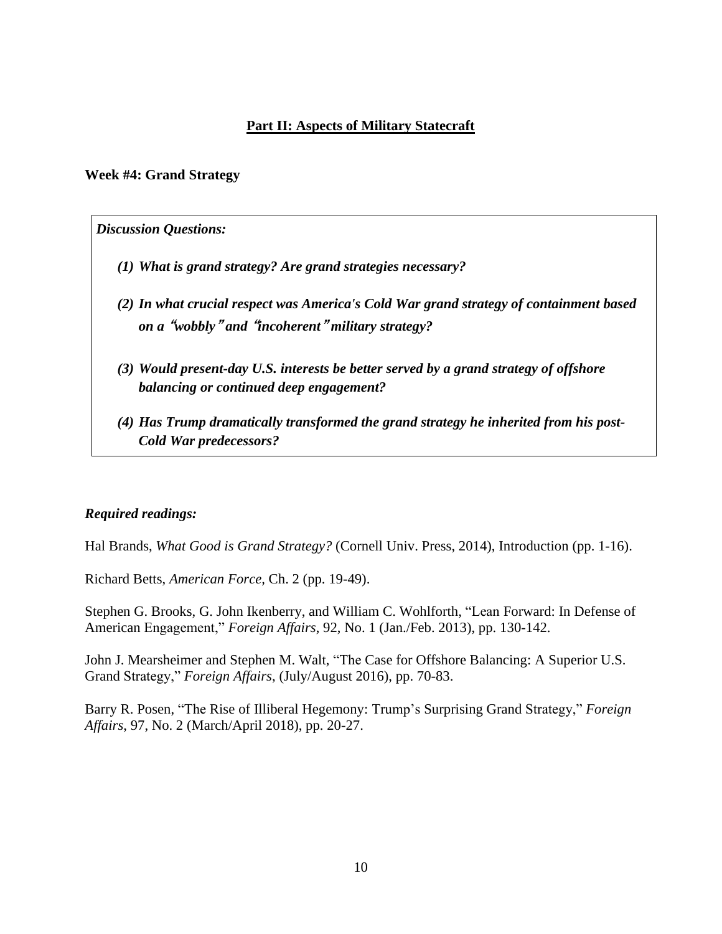# **Part II: Aspects of Military Statecraft**

### **Week #4: Grand Strategy**

#### *Discussion Questions:*

- *(1) What is grand strategy? Are grand strategies necessary?*
- *(2) In what crucial respect was America's Cold War grand strategy of containment based on a* **"***wobbly***"** *and* **"***incoherent***"** *military strategy?*
- *(3) Would present-day U.S. interests be better served by a grand strategy of offshore balancing or continued deep engagement?*
- *(4) Has Trump dramatically transformed the grand strategy he inherited from his post-Cold War predecessors?*

### *Required readings:*

Hal Brands, *What Good is Grand Strategy?* (Cornell Univ. Press, 2014), Introduction (pp. 1-16).

Richard Betts, *American Force,* Ch. 2 (pp. 19-49).

Stephen G. Brooks, G. John Ikenberry, and William C. Wohlforth, "Lean Forward: In Defense of American Engagement," *Foreign Affairs*, 92, No. 1 (Jan./Feb. 2013), pp. 130-142.

John J. Mearsheimer and Stephen M. Walt, "The Case for Offshore Balancing: A Superior U.S. Grand Strategy," *Foreign Affairs*, (July/August 2016), pp. 70-83.

Barry R. Posen, "The Rise of Illiberal Hegemony: Trump's Surprising Grand Strategy," *Foreign Affairs*, 97, No. 2 (March/April 2018), pp. 20-27.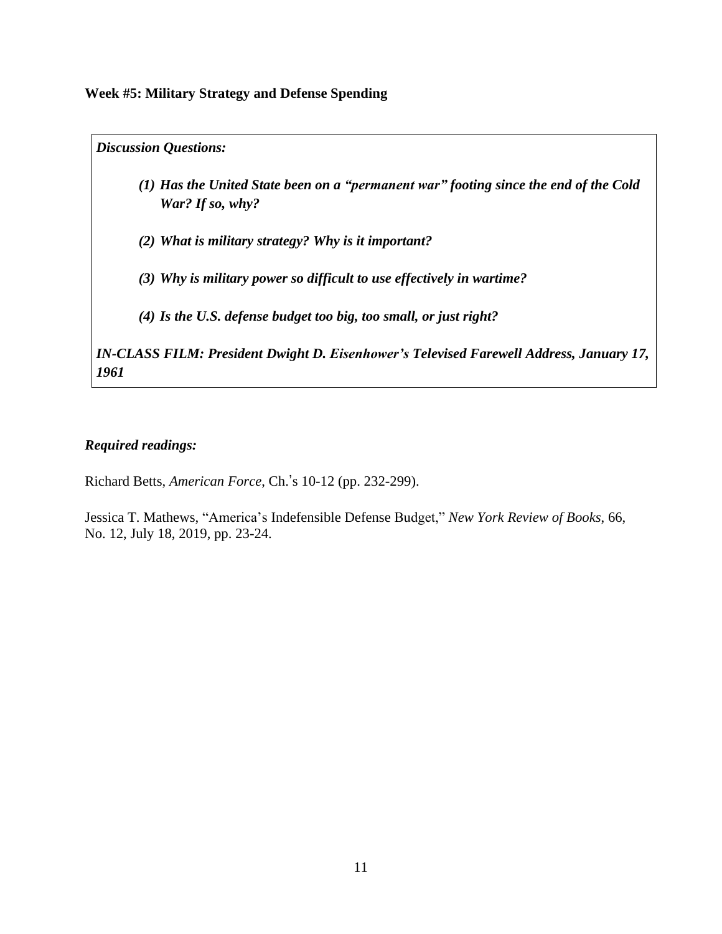**Week #5: Military Strategy and Defense Spending**

*Discussion Questions:*

- *(1) Has the United State been on a "permanent war" footing since the end of the Cold War? If so, why?*
- *(2) What is military strategy? Why is it important?*
- *(3) Why is military power so difficult to use effectively in wartime?*
- *(4) Is the U.S. defense budget too big, too small, or just right?*

*IN-CLASS FILM: President Dwight D. Eisenhower's Televised Farewell Address, January 17, 1961*

# *Required readings:*

Richard Betts, *American Force*, Ch.'s 10-12 (pp. 232-299).

Jessica T. Mathews, "America's Indefensible Defense Budget," *New York Review of Books*, 66, No. 12, July 18, 2019, pp. 23-24.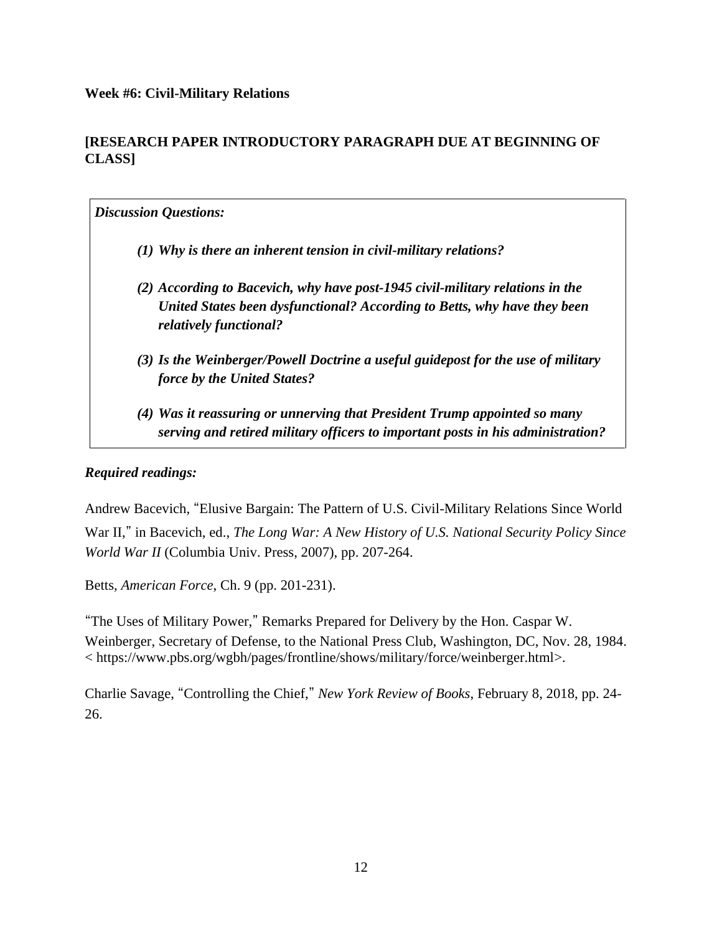## **Week #6: Civil-Military Relations**

# **[RESEARCH PAPER INTRODUCTORY PARAGRAPH DUE AT BEGINNING OF CLASS]**

# *Discussion Questions:*

- *(1) Why is there an inherent tension in civil-military relations?*
- *(2) According to Bacevich, why have post-1945 civil-military relations in the United States been dysfunctional? According to Betts, why have they been relatively functional?*
- *(3) Is the Weinberger/Powell Doctrine a useful guidepost for the use of military force by the United States?*
- *(4) Was it reassuring or unnerving that President Trump appointed so many serving and retired military officers to important posts in his administration?*

## *Required readings:*

Andrew Bacevich, "Elusive Bargain: The Pattern of U.S. Civil-Military Relations Since World War II," in Bacevich, ed., *The Long War: A New History of U.S. National Security Policy Since World War II* (Columbia Univ. Press, 2007), pp. 207-264.

Betts, *American Force*, Ch. 9 (pp. 201-231).

"The Uses of Military Power," Remarks Prepared for Delivery by the Hon. Caspar W. Weinberger, Secretary of Defense, to the National Press Club, Washington, DC, Nov. 28, 1984. < https://www.pbs.org/wgbh/pages/frontline/shows/military/force/weinberger.html>.

Charlie Savage, "Controlling the Chief," *New York Review of Books*, February 8, 2018, pp. 24- 26.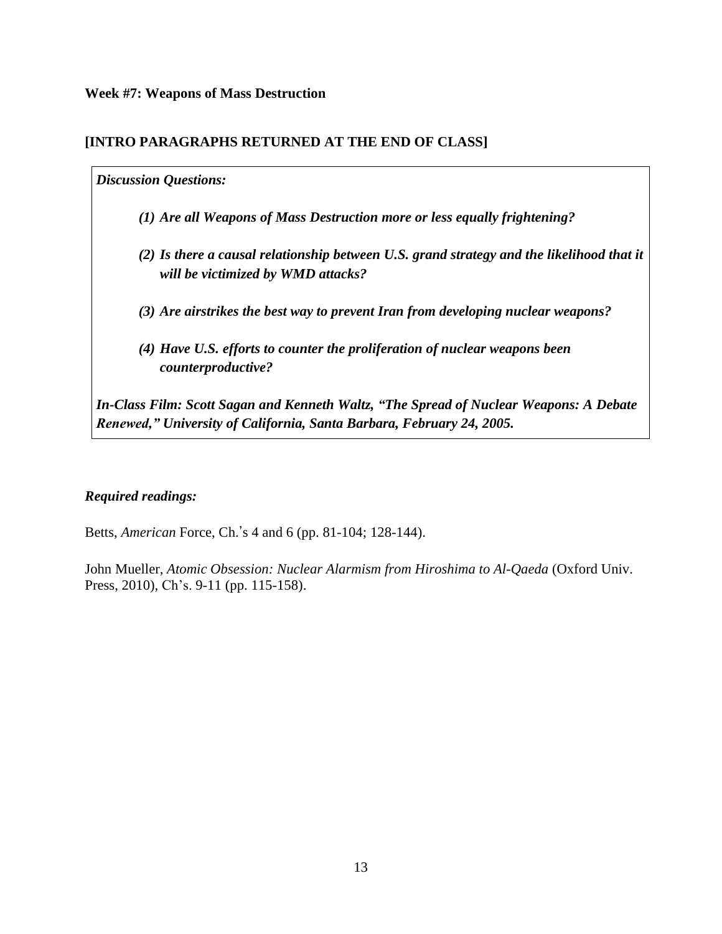# **[INTRO PARAGRAPHS RETURNED AT THE END OF CLASS]**

## *Discussion Questions:*

- *(1) Are all Weapons of Mass Destruction more or less equally frightening?*
- *(2) Is there a causal relationship between U.S. grand strategy and the likelihood that it will be victimized by WMD attacks?*
- *(3) Are airstrikes the best way to prevent Iran from developing nuclear weapons?*
- *(4) Have U.S. efforts to counter the proliferation of nuclear weapons been counterproductive?*

*In-Class Film: Scott Sagan and Kenneth Waltz, "The Spread of Nuclear Weapons: A Debate Renewed," University of California, Santa Barbara, February 24, 2005.*

# *Required readings:*

Betts, *American* Force, Ch.'s 4 and 6 (pp. 81-104; 128-144).

John Mueller, *Atomic Obsession: Nuclear Alarmism from Hiroshima to Al-Qaeda* (Oxford Univ. Press, 2010), Ch's. 9-11 (pp. 115-158).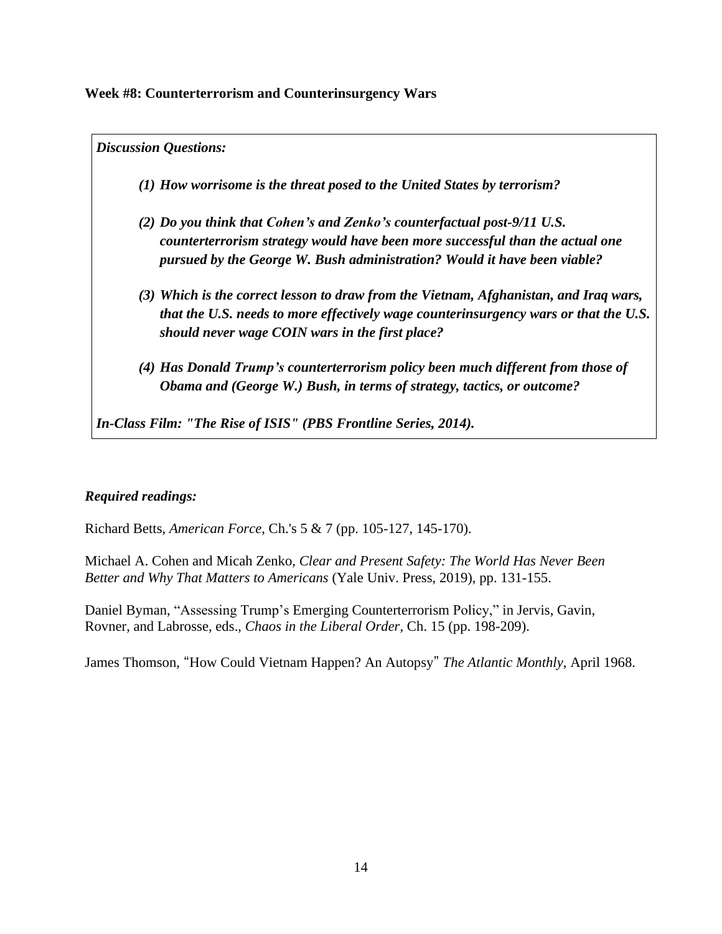**Week #8: Counterterrorism and Counterinsurgency Wars**

*Discussion Questions:*

- *(1) How worrisome is the threat posed to the United States by terrorism?*
- *(2) Do you think that Cohen's and Zenko's counterfactual post-9/11 U.S. counterterrorism strategy would have been more successful than the actual one pursued by the George W. Bush administration? Would it have been viable?*
- *(3) Which is the correct lesson to draw from the Vietnam, Afghanistan, and Iraq wars, that the U.S. needs to more effectively wage counterinsurgency wars or that the U.S. should never wage COIN wars in the first place?*
- *(4) Has Donald Trump's counterterrorism policy been much different from those of Obama and (George W.) Bush, in terms of strategy, tactics, or outcome?*

*In-Class Film: "The Rise of ISIS" (PBS Frontline Series, 2014).*

# *Required readings:*

Richard Betts, *American Force*, Ch.'s 5 & 7 (pp. 105-127, 145-170).

Michael A. Cohen and Micah Zenko, *Clear and Present Safety: The World Has Never Been Better and Why That Matters to Americans* (Yale Univ. Press, 2019), pp. 131-155.

Daniel Byman, "Assessing Trump's Emerging Counterterrorism Policy," in Jervis, Gavin, Rovner, and Labrosse, eds., *Chaos in the Liberal Order*, Ch. 15 (pp. 198-209).

James Thomson, "How Could Vietnam Happen? An Autopsy" *The Atlantic Monthly*, April 1968.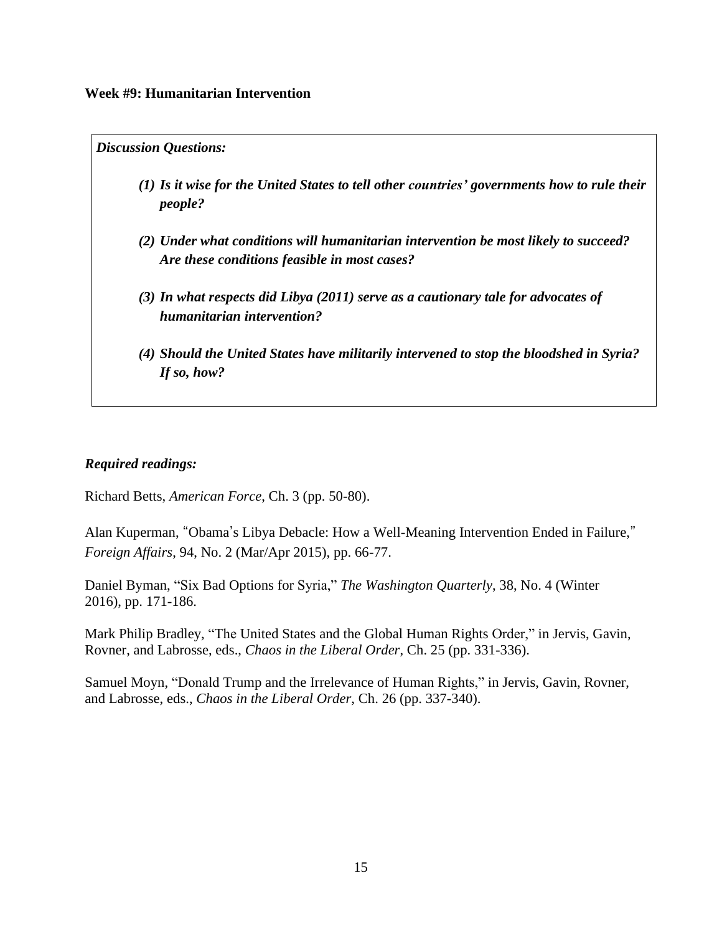*Discussion Questions:*

- *(1) Is it wise for the United States to tell other countries' governments how to rule their people?*
- *(2) Under what conditions will humanitarian intervention be most likely to succeed? Are these conditions feasible in most cases?*
- *(3) In what respects did Libya (2011) serve as a cautionary tale for advocates of humanitarian intervention?*
- *(4) Should the United States have militarily intervened to stop the bloodshed in Syria? If so, how?*

# *Required readings:*

Richard Betts, *American Force*, Ch. 3 (pp. 50-80).

Alan Kuperman, "Obama's Libya Debacle: How a Well-Meaning Intervention Ended in Failure," *Foreign Affairs*, 94, No. 2 (Mar/Apr 2015), pp. 66-77.

Daniel Byman, "Six Bad Options for Syria," *The Washington Quarterly*, 38, No. 4 (Winter 2016), pp. 171-186.

Mark Philip Bradley, "The United States and the Global Human Rights Order," in Jervis, Gavin, Rovner, and Labrosse, eds., *Chaos in the Liberal Order*, Ch. 25 (pp. 331-336).

Samuel Moyn, "Donald Trump and the Irrelevance of Human Rights," in Jervis, Gavin, Rovner, and Labrosse, eds., *Chaos in the Liberal Order*, Ch. 26 (pp. 337-340).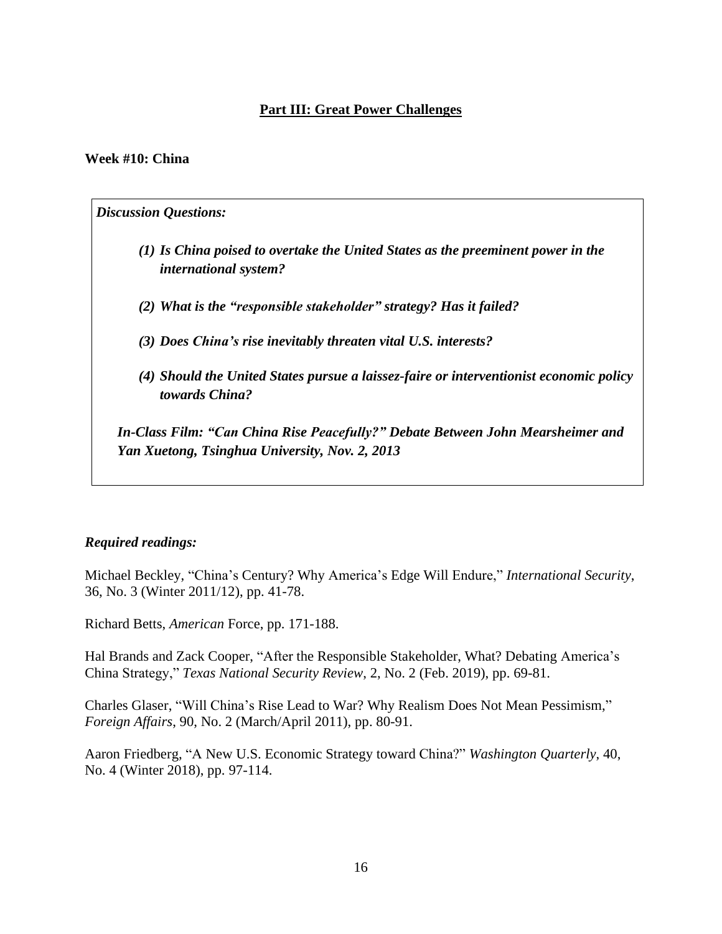# **Part III: Great Power Challenges**

### **Week #10: China**

*Discussion Questions: (1) Is China poised to overtake the United States as the preeminent power in the international system? (2) What is the "responsible stakeholder" strategy? Has it failed? (3) Does China's rise inevitably threaten vital U.S. interests? (4) Should the United States pursue a laissez-faire or interventionist economic policy towards China?*

*In-Class Film: "Can China Rise Peacefully?" Debate Between John Mearsheimer and Yan Xuetong, Tsinghua University, Nov. 2, 2013*

### *Required readings:*

Michael Beckley, "China's Century? Why America's Edge Will Endure," *International Security*, 36, No. 3 (Winter 2011/12), pp. 41-78.

Richard Betts, *American* Force, pp. 171-188.

Hal Brands and Zack Cooper, "After the Responsible Stakeholder, What? Debating America's China Strategy," *Texas National Security Review*, 2, No. 2 (Feb. 2019), pp. 69-81.

Charles Glaser, "Will China's Rise Lead to War? Why Realism Does Not Mean Pessimism," *Foreign Affairs*, 90, No. 2 (March/April 2011), pp. 80-91.

Aaron Friedberg, "A New U.S. Economic Strategy toward China?" *Washington Quarterly*, 40, No. 4 (Winter 2018), pp. 97-114.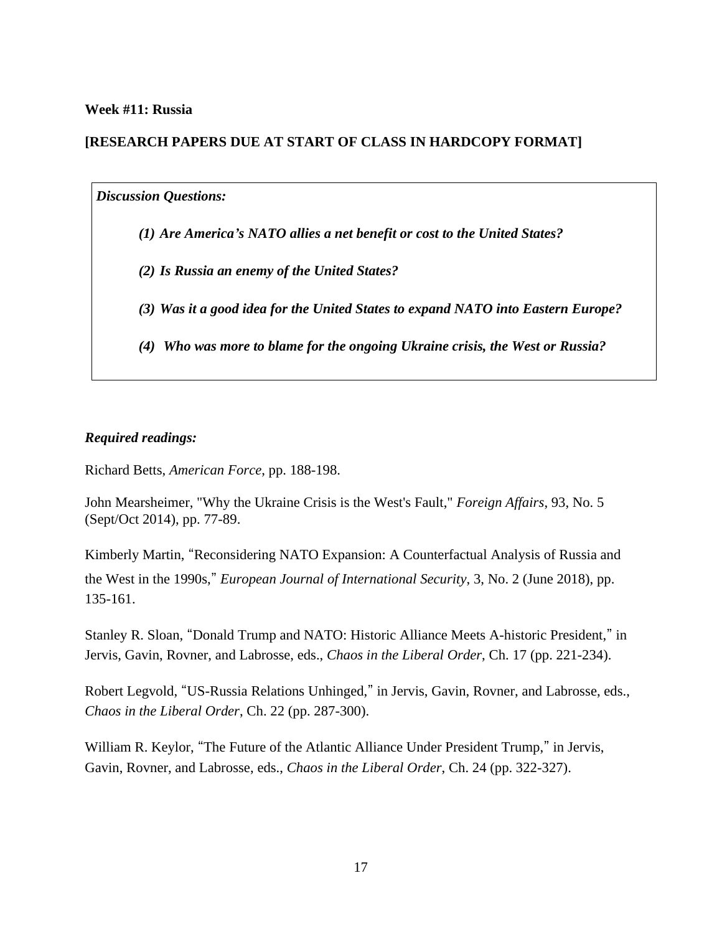### **Week #11: Russia**

# **[RESEARCH PAPERS DUE AT START OF CLASS IN HARDCOPY FORMAT]**

#### *Discussion Questions:*

- *(1) Are America's NATO allies a net benefit or cost to the United States?*
- *(2) Is Russia an enemy of the United States?*
- *(3) Was it a good idea for the United States to expand NATO into Eastern Europe?*
- *(4) Who was more to blame for the ongoing Ukraine crisis, the West or Russia?*

### *Required readings:*

Richard Betts, *American Force*, pp. 188-198.

John Mearsheimer, "Why the Ukraine Crisis is the West's Fault," *Foreign Affairs*, 93, No. 5 (Sept/Oct 2014), pp. 77-89.

Kimberly Martin, "Reconsidering NATO Expansion: A Counterfactual Analysis of Russia and the West in the 1990s," *European Journal of International Security*, 3, No. 2 (June 2018), pp. 135-161.

Stanley R. Sloan, "Donald Trump and NATO: Historic Alliance Meets A-historic President," in Jervis, Gavin, Rovner, and Labrosse, eds., *Chaos in the Liberal Order*, Ch. 17 (pp. 221-234).

Robert Legvold, "US-Russia Relations Unhinged," in Jervis, Gavin, Rovner, and Labrosse, eds., *Chaos in the Liberal Order*, Ch. 22 (pp. 287-300).

William R. Keylor, "The Future of the Atlantic Alliance Under President Trump," in Jervis, Gavin, Rovner, and Labrosse, eds., *Chaos in the Liberal Order*, Ch. 24 (pp. 322-327).